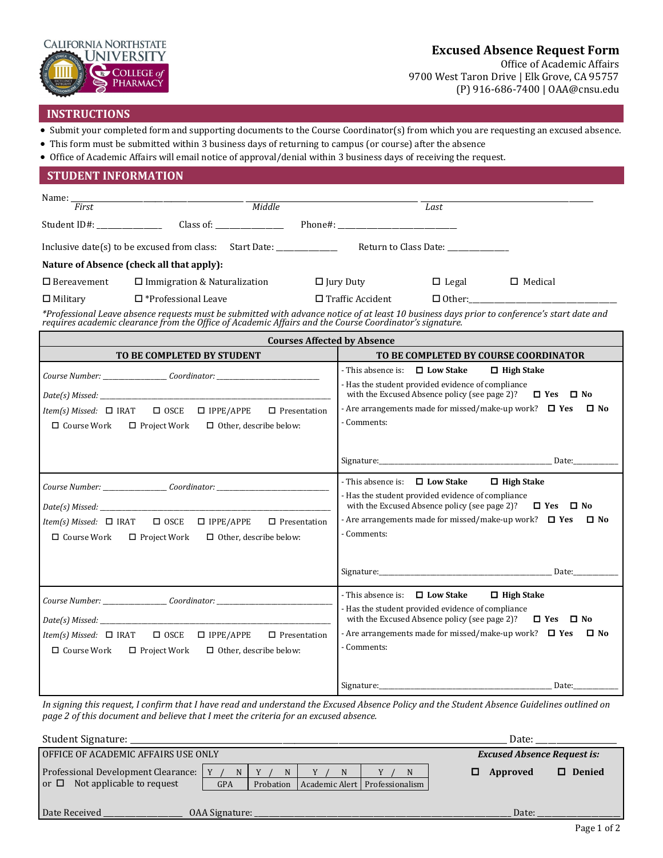

# **Excused Absence Request Form**

Office of Academic Affairs 9700 West Taron Drive | Elk Grove, CA 95757 (P) 916-686-7400 | OAA@cnsu.edu

## **INSTRUCTIONS**

- Submit your completed form and supporting documents to the Course Coordinator(s) from which you are requesting an excused absence.
- This form must be submitted within 3 business days of returning to campus (or course) after the absence
- Office of Academic Affairs will email notice of approval/denial within 3 business days of receiving the request.

| <b>STUDENT INFORMATION</b>                                                                                                                                                                                                        |                                                                                                                                                |  |  |  |  |  |  |
|-----------------------------------------------------------------------------------------------------------------------------------------------------------------------------------------------------------------------------------|------------------------------------------------------------------------------------------------------------------------------------------------|--|--|--|--|--|--|
| $\overbrace{\hspace{27mm} \textit{middle}}^{1}$<br>Name: $\frac{F_{i}}{First}$                                                                                                                                                    | Last                                                                                                                                           |  |  |  |  |  |  |
|                                                                                                                                                                                                                                   |                                                                                                                                                |  |  |  |  |  |  |
|                                                                                                                                                                                                                                   |                                                                                                                                                |  |  |  |  |  |  |
|                                                                                                                                                                                                                                   |                                                                                                                                                |  |  |  |  |  |  |
| Nature of Absence (check all that apply):                                                                                                                                                                                         |                                                                                                                                                |  |  |  |  |  |  |
| $\Box$ Bereavement<br>$\Box$ Immigration & Naturalization                                                                                                                                                                         | $\Box$ Jury Duty<br>$\Box$ Legal<br>$\Box$ Medical                                                                                             |  |  |  |  |  |  |
| $\Box$ Military<br>$\Box$ *Professional Leave                                                                                                                                                                                     | $\Box$ Other:<br>$\Box$ Traffic Accident                                                                                                       |  |  |  |  |  |  |
| *Professional Leave absence requests must be submitted with advance notice of at least 10 business days prior to conference's start date and<br>requires academic clearance from the Office of Academic Affairs and the Course Co |                                                                                                                                                |  |  |  |  |  |  |
| <b>Courses Affected by Absence</b>                                                                                                                                                                                                |                                                                                                                                                |  |  |  |  |  |  |
| TO BE COMPLETED BY STUDENT                                                                                                                                                                                                        | TO BE COMPLETED BY COURSE COORDINATOR                                                                                                          |  |  |  |  |  |  |
|                                                                                                                                                                                                                                   | - This absence is: $\Box$ Low Stake<br>$\Box$ High Stake                                                                                       |  |  |  |  |  |  |
|                                                                                                                                                                                                                                   | - Has the student provided evidence of compliance<br>with the Excused Absence policy (see page 2)?<br>$\Box$ Yes $\Box$ No                     |  |  |  |  |  |  |
| $\square$ IPPE/APPE<br>$\square$ Presentation<br><i>Item(s) Missed:</i> $\Box$ IRAT<br>$\Box$ OSCE                                                                                                                                | - Are arrangements made for missed/make-up work? $\Box$ Yes<br>$\square$ No                                                                    |  |  |  |  |  |  |
| $\Box$ Course Work $\Box$ Project Work<br>$\Box$ Other, describe below:                                                                                                                                                           | - Comments:                                                                                                                                    |  |  |  |  |  |  |
|                                                                                                                                                                                                                                   |                                                                                                                                                |  |  |  |  |  |  |
|                                                                                                                                                                                                                                   |                                                                                                                                                |  |  |  |  |  |  |
| Course Number: __________________Coordinator: __________________________________                                                                                                                                                  | - This absence is: $\Box$ Low Stake<br>$\Box$ High Stake                                                                                       |  |  |  |  |  |  |
|                                                                                                                                                                                                                                   | - Has the student provided evidence of compliance                                                                                              |  |  |  |  |  |  |
|                                                                                                                                                                                                                                   | with the Excused Absence policy (see page 2)? $\Box$ Yes $\Box$ No<br>- Are arrangements made for missed/make-up work? $\Box$ Yes<br>$\Box$ No |  |  |  |  |  |  |
| $\Box$ OSCE $\Box$ IPPE/APPE<br>$\square$ Presentation<br><i>Item(s) Missed:</i> $\Box$ IRAT                                                                                                                                      | - Comments:                                                                                                                                    |  |  |  |  |  |  |
| $\Box$ Course Work<br>$\Box$ Project Work<br>$\Box$ Other, describe below:                                                                                                                                                        |                                                                                                                                                |  |  |  |  |  |  |
|                                                                                                                                                                                                                                   |                                                                                                                                                |  |  |  |  |  |  |
|                                                                                                                                                                                                                                   |                                                                                                                                                |  |  |  |  |  |  |
| Course Number: ___________________Coordinator: _________________________________                                                                                                                                                  | - This absence is: $\Box$ Low Stake<br>$\Box$ High Stake                                                                                       |  |  |  |  |  |  |
|                                                                                                                                                                                                                                   | - Has the student provided evidence of compliance                                                                                              |  |  |  |  |  |  |
|                                                                                                                                                                                                                                   | with the Excused Absence policy (see page 2)? $\Box$ Yes $\Box$ No<br>- Are arrangements made for missed/make-up work? $\Box$ Yes<br>$\Box$ No |  |  |  |  |  |  |
| $\square$ IPPE/APPE<br>Item(s) Missed: $\Box$ IRAT<br>$\Box$ OSCE<br>$\Box$ Presentation                                                                                                                                          | - Comments:                                                                                                                                    |  |  |  |  |  |  |
| $\Box$ Course Work $\Box$ Project Work<br>$\Box$ Other, describe below:                                                                                                                                                           |                                                                                                                                                |  |  |  |  |  |  |
|                                                                                                                                                                                                                                   |                                                                                                                                                |  |  |  |  |  |  |
|                                                                                                                                                                                                                                   |                                                                                                                                                |  |  |  |  |  |  |

*In signing this request, I confirm that I have read and understand the Excused Absence Policy and the Student Absence Guidelines outlined on page 2 of this document and believe that I meet the criteria for an excused absence.*

| Student Signature:                     |            |                          |  | Date:                              |                 |                        |
|----------------------------------------|------------|--------------------------|--|------------------------------------|-----------------|------------------------|
| OFFICE OF ACADEMIC AFFAIRS USE ONLY    |            |                          |  | <b>Excused Absence Request is:</b> |                 |                        |
| Professional Development Clearance:    |            | N                        |  | N                                  | <b>Approved</b> | <b>Denied</b>          |
| Not applicable to request<br>or $\Box$ | <b>GPA</b> | Probation                |  | Academic Alert   Professionalism   |                 |                        |
|                                        |            |                          |  |                                    |                 |                        |
| Date Received                          |            | OAA Signature: _________ |  |                                    | Date:           |                        |
|                                        |            |                          |  |                                    |                 | $\sim$<br>$\mathbf{r}$ |